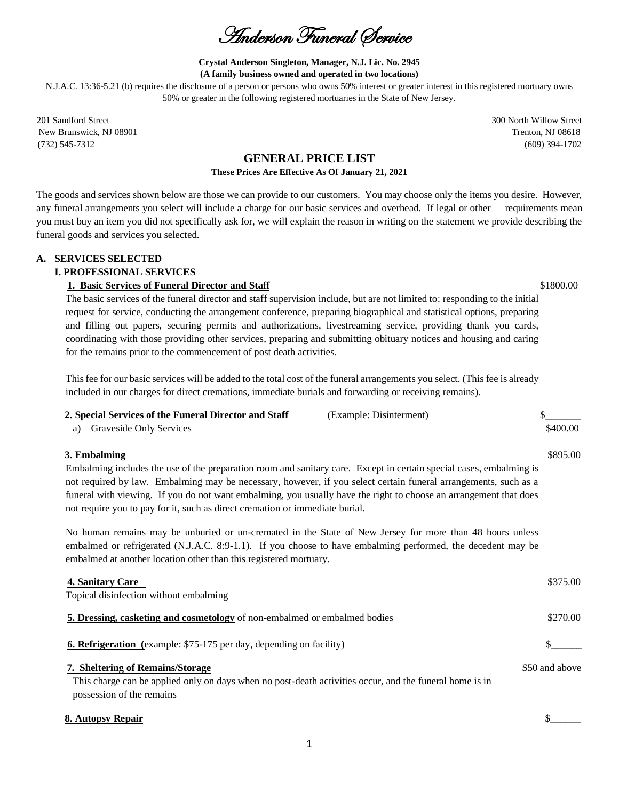Anderson Funeral Service

#### **Crystal Anderson Singleton, Manager, N.J. Lic. No. 2945 (A family business owned and operated in two locations)**

N.J.A.C. 13:36-5.21 (b) requires the disclosure of a person or persons who owns 50% interest or greater interest in this registered mortuary owns 50% or greater in the following registered mortuaries in the State of New Jersey.

201 Sandford Street 300 North Willow Street New Brunswick, NJ 08901 Trenton, NJ 08618 (732) 545-7312 (609) 394-1702

# **GENERAL PRICE LIST**

## **These Prices Are Effective As Of January 21, 2021**

The goods and services shown below are those we can provide to our customers. You may choose only the items you desire. However, any funeral arrangements you select will include a charge for our basic services and overhead. If legal or other requirements mean you must buy an item you did not specifically ask for, we will explain the reason in writing on the statement we provide describing the funeral goods and services you selected.

## **A. SERVICES SELECTED**

## **I. PROFESSIONAL SERVICES**

## **1. Basic Services of Funeral Director and Staff**  $$1800.00$

The basic services of the funeral director and staff supervision include, but are not limited to: responding to the initial request for service, conducting the arrangement conference, preparing biographical and statistical options, preparing and filling out papers, securing permits and authorizations, livestreaming service, providing thank you cards, coordinating with those providing other services, preparing and submitting obituary notices and housing and caring for the remains prior to the commencement of post death activities.

This fee for our basic services will be added to the total cost of the funeral arrangements you select. (This fee is already included in our charges for direct cremations, immediate burials and forwarding or receiving remains).

| 2. Special Services of the Funeral Director and Staff<br>(Example: Disinterment)                                                                                                                                                                                                             |                |
|----------------------------------------------------------------------------------------------------------------------------------------------------------------------------------------------------------------------------------------------------------------------------------------------|----------------|
| Graveside Only Services<br>a)                                                                                                                                                                                                                                                                | \$400.00       |
| 3. Embalming                                                                                                                                                                                                                                                                                 | \$895.00       |
| Embalming includes the use of the preparation room and sanitary care. Except in certain special cases, embalming is                                                                                                                                                                          |                |
| not required by law. Embalming may be necessary, however, if you select certain funeral arrangements, such as a                                                                                                                                                                              |                |
| funeral with viewing. If you do not want embalming, you usually have the right to choose an arrangement that does                                                                                                                                                                            |                |
| not require you to pay for it, such as direct cremation or immediate burial.                                                                                                                                                                                                                 |                |
| No human remains may be unburied or un-cremated in the State of New Jersey for more than 48 hours unless<br>embalmed or refrigerated (N.J.A.C. 8:9-1.1). If you choose to have embalming performed, the decedent may be<br>embalmed at another location other than this registered mortuary. |                |
| 4. Sanitary Care                                                                                                                                                                                                                                                                             | \$375.00       |
| Topical disinfection without embalming                                                                                                                                                                                                                                                       |                |
| 5. Dressing, casketing and cosmetology of non-embalmed or embalmed bodies                                                                                                                                                                                                                    | \$270.00       |
| <b>6. Refrigeration</b> (example: \$75-175 per day, depending on facility)                                                                                                                                                                                                                   |                |
| 7. Sheltering of Remains/Storage                                                                                                                                                                                                                                                             | \$50 and above |
| This charge can be applied only on days when no post-death activities occur, and the funeral home is in<br>possession of the remains                                                                                                                                                         |                |

#### **8. Autopsy Repair**  $\frac{1}{2}$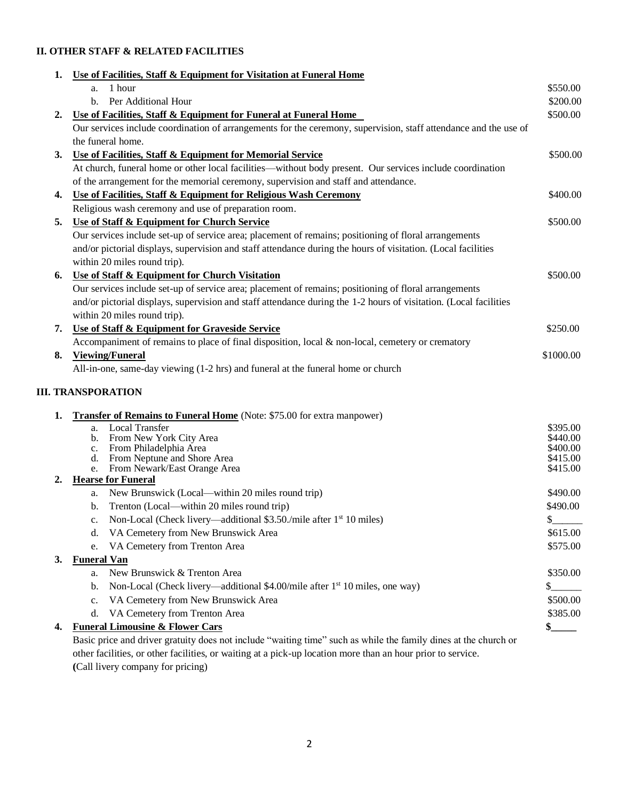# **II. OTHER STAFF & RELATED FACILITIES**

| 1. | Use of Facilities, Staff & Equipment for Visitation at Funeral Home                                               |                      |
|----|-------------------------------------------------------------------------------------------------------------------|----------------------|
|    | 1 hour<br>a.                                                                                                      | \$550.00             |
|    | b. Per Additional Hour                                                                                            | \$200.00             |
| 2. | Use of Facilities, Staff & Equipment for Funeral at Funeral Home                                                  | \$500.00             |
|    | Our services include coordination of arrangements for the ceremony, supervision, staff attendance and the use of  |                      |
|    | the funeral home.                                                                                                 |                      |
| 3. | Use of Facilities, Staff & Equipment for Memorial Service                                                         | \$500.00             |
|    | At church, funeral home or other local facilities—without body present. Our services include coordination         |                      |
|    | of the arrangement for the memorial ceremony, supervision and staff and attendance.                               |                      |
| 4. | Use of Facilities, Staff & Equipment for Religious Wash Ceremony                                                  | \$400.00             |
|    | Religious wash ceremony and use of preparation room.                                                              |                      |
| 5. | <b>Use of Staff &amp; Equipment for Church Service</b>                                                            | \$500.00             |
|    | Our services include set-up of service area; placement of remains; positioning of floral arrangements             |                      |
|    | and/or pictorial displays, supervision and staff attendance during the hours of visitation. (Local facilities     |                      |
|    | within 20 miles round trip).                                                                                      |                      |
| 6. | Use of Staff & Equipment for Church Visitation                                                                    | \$500.00             |
|    | Our services include set-up of service area; placement of remains; positioning of floral arrangements             |                      |
|    | and/or pictorial displays, supervision and staff attendance during the 1-2 hours of visitation. (Local facilities |                      |
|    | within 20 miles round trip).                                                                                      |                      |
| 7. | Use of Staff & Equipment for Graveside Service                                                                    | \$250.00             |
|    | Accompaniment of remains to place of final disposition, local $\&$ non-local, cemetery or crematory               |                      |
| 8. | <b>Viewing/Funeral</b>                                                                                            | \$1000.00            |
|    | All-in-one, same-day viewing (1-2 hrs) and funeral at the funeral home or church                                  |                      |
|    |                                                                                                                   |                      |
|    | <b>III. TRANSPORATION</b>                                                                                         |                      |
|    |                                                                                                                   |                      |
| 1. | <b>Transfer of Remains to Funeral Home</b> (Note: \$75.00 for extra manpower)                                     |                      |
|    | a. Local Transfer<br>b. From New York City Area                                                                   | \$395.00<br>\$440.00 |
|    | c. From Philadelphia Area                                                                                         | \$400.00             |
|    | d. From Neptune and Shore Area                                                                                    | \$415.00             |
|    | From Newark/East Orange Area<br>e.                                                                                | \$415.00             |
| 2. | <b>Hearse for Funeral</b>                                                                                         |                      |
|    | a. New Brunswick (Local—within 20 miles round trip)                                                               | \$490.00             |
|    | Trenton (Local—within 20 miles round trip)<br>b.                                                                  | \$490.00             |
|    | Non-Local (Check livery—additional \$3.50./mile after 1 <sup>st</sup> 10 miles)                                   | $\frac{1}{2}$        |
|    | VA Cemetery from New Brunswick Area<br>d.                                                                         | \$615.00             |
|    | VA Cemetery from Trenton Area<br>e.                                                                               | \$575.00             |
| 3. | <b>Funeral Van</b>                                                                                                |                      |
|    | New Brunswick & Trenton Area<br>a.                                                                                | \$350.00             |
|    | Non-Local (Check livery—additional \$4.00/mile after 1 <sup>st</sup> 10 miles, one way)<br>b.                     | \$                   |
|    | VA Cemetery from New Brunswick Area<br>c.                                                                         | \$500.00             |
|    | VA Cemetery from Trenton Area<br>d.                                                                               | \$385.00             |
| 4. | <b>Funeral Limousine &amp; Flower Cars</b>                                                                        | \$.                  |
|    | Basic price and driver gratuity does not include "waiting time" such as while the family dines at the church or   |                      |
|    |                                                                                                                   |                      |

other facilities, or other facilities, or waiting at a pick-up location more than an hour prior to service. **(**Call livery company for pricing)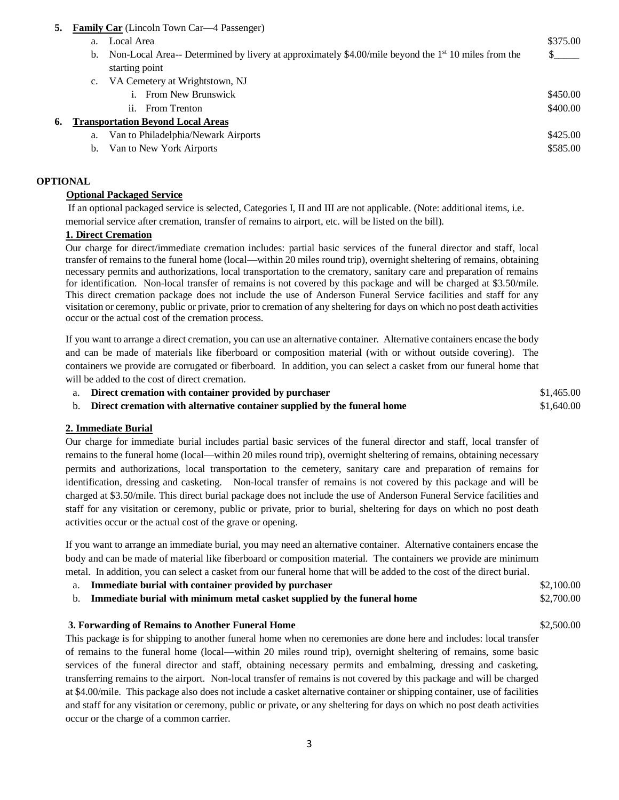- **5. Family Car** (Lincoln Town Car—4 Passenger)
	- a. Local Area  $$375.00$
	- b. Non-Local Area-- Determined by livery at approximately \$4.00/mile beyond the  $1<sup>st</sup> 10$  miles from the  $$_{\_\_\_\_s}$ starting point
	- c. VA Cemetery at Wrightstown, NJ i. From New Brunswick  $\frac{1}{2}$  and  $\frac{1}{2}$  and  $\frac{1}{2}$  and  $\frac{1}{2}$  and  $\frac{1}{2}$  and  $\frac{1}{2}$  and  $\frac{1}{2}$  and  $\frac{1}{2}$  and  $\frac{1}{2}$  and  $\frac{1}{2}$  and  $\frac{1}{2}$  and  $\frac{1}{2}$  and  $\frac{1}{2}$  and  $\frac{1}{2}$  and  $\frac{$ ii. From Trenton  $\$400.00$
- **6. Transportation Beyond Local Areas**
	- a. Van to Philadelphia/Newark Airports  $$425.00$
	- b. Van to New York Airports  $$585.00$

## **OPTIONAL**

## **Optional Packaged Service**

If an optional packaged service is selected, Categories I, II and III are not applicable. (Note: additional items, i.e. memorial service after cremation, transfer of remains to airport, etc. will be listed on the bill).

## **1. Direct Cremation**

Our charge for direct/immediate cremation includes: partial basic services of the funeral director and staff, local transfer of remains to the funeral home (local—within 20 miles round trip), overnight sheltering of remains, obtaining necessary permits and authorizations, local transportation to the crematory, sanitary care and preparation of remains for identification. Non-local transfer of remains is not covered by this package and will be charged at \$3.50/mile. This direct cremation package does not include the use of Anderson Funeral Service facilities and staff for any visitation or ceremony, public or private, prior to cremation of any sheltering for days on which no post death activities occur or the actual cost of the cremation process.

If you want to arrange a direct cremation, you can use an alternative container. Alternative containers encase the body and can be made of materials like fiberboard or composition material (with or without outside covering). The containers we provide are corrugated or fiberboard. In addition, you can select a casket from our funeral home that will be added to the cost of direct cremation.

| Direct cremation with container provided by purchaser                       | \$1,465.00 |
|-----------------------------------------------------------------------------|------------|
| b. Direct cremation with alternative container supplied by the funeral home | \$1,640.00 |

## **2. Immediate Burial**

Our charge for immediate burial includes partial basic services of the funeral director and staff, local transfer of remains to the funeral home (local—within 20 miles round trip), overnight sheltering of remains, obtaining necessary permits and authorizations, local transportation to the cemetery, sanitary care and preparation of remains for identification, dressing and casketing. Non-local transfer of remains is not covered by this package and will be charged at \$3.50/mile. This direct burial package does not include the use of Anderson Funeral Service facilities and staff for any visitation or ceremony, public or private, prior to burial, sheltering for days on which no post death activities occur or the actual cost of the grave or opening.

If you want to arrange an immediate burial, you may need an alternative container. Alternative containers encase the body and can be made of material like fiberboard or composition material. The containers we provide are minimum metal. In addition, you can select a casket from our funeral home that will be added to the cost of the direct burial.

- a. **Immediate burial with container provided by purchaser** \$2,100.00
- b. **Immediate burial with minimum metal casket supplied by the funeral home** \$2,700.00

## **3. Forwarding of Remains to Another Funeral Home** \$2,500.00

This package is for shipping to another funeral home when no ceremonies are done here and includes: local transfer of remains to the funeral home (local—within 20 miles round trip), overnight sheltering of remains, some basic services of the funeral director and staff, obtaining necessary permits and embalming, dressing and casketing, transferring remains to the airport. Non-local transfer of remains is not covered by this package and will be charged at \$4.00/mile. This package also does not include a casket alternative container or shipping container, use of facilities and staff for any visitation or ceremony, public or private, or any sheltering for days on which no post death activities occur or the charge of a common carrier.